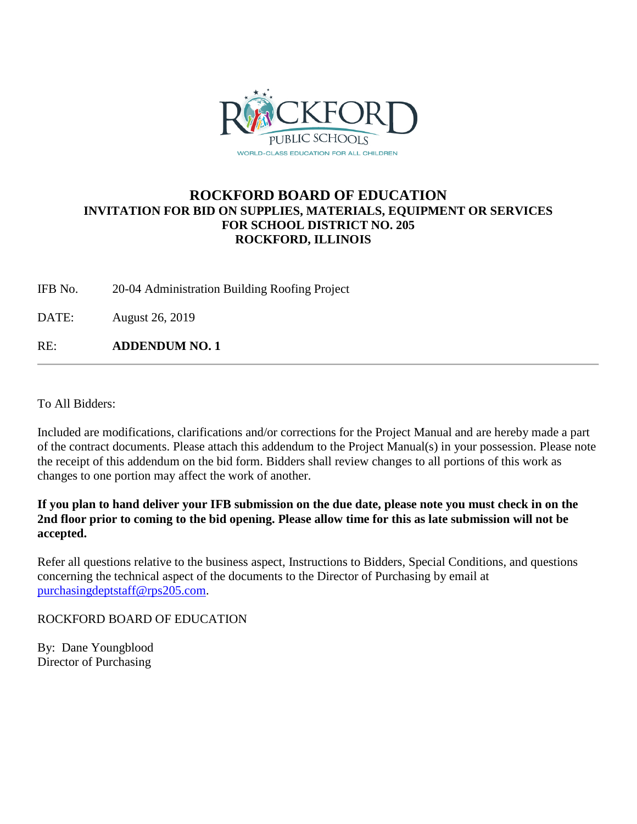

### **ROCKFORD BOARD OF EDUCATION INVITATION FOR BID ON SUPPLIES, MATERIALS, EQUIPMENT OR SERVICES FOR SCHOOL DISTRICT NO. 205 ROCKFORD, ILLINOIS**

IFB No. 20-04 Administration Building Roofing Project

DATE: August 26, 2019

RE: **ADDENDUM NO. 1**

To All Bidders:

Included are modifications, clarifications and/or corrections for the Project Manual and are hereby made a part of the contract documents. Please attach this addendum to the Project Manual(s) in your possession. Please note the receipt of this addendum on the bid form. Bidders shall review changes to all portions of this work as changes to one portion may affect the work of another.

**If you plan to hand deliver your IFB submission on the due date, please note you must check in on the 2nd floor prior to coming to the bid opening. Please allow time for this as late submission will not be accepted.**

Refer all questions relative to the business aspect, Instructions to Bidders, Special Conditions, and questions concerning the technical aspect of the documents to the Director of Purchasing by email at [purchasingdeptstaff@rps205.com.](mailto:purchasingdeptstaff@rps205.com)

ROCKFORD BOARD OF EDUCATION

By: Dane Youngblood Director of Purchasing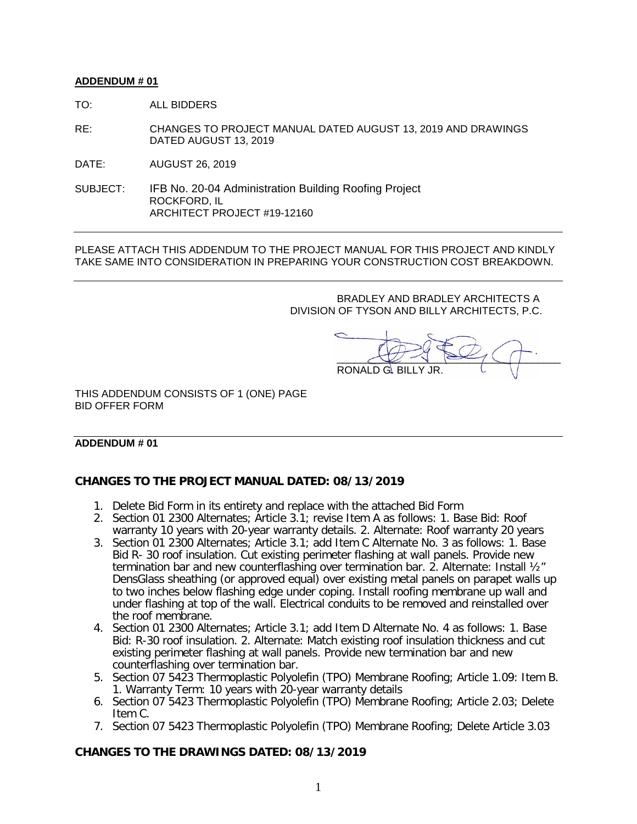#### **ADDENDUM # 01**

TO: ALL BIDDERS

- RE: CHANGES TO PROJECT MANUAL DATED AUGUST 13, 2019 AND DRAWINGS DATED AUGUST 13, 2019
- DATE: AUGUST 26, 2019
- SUBJECT: IFB No. 20-04 Administration Building Roofing Project ROCKFORD, IL ARCHITECT PROJECT #19-12160

PLEASE ATTACH THIS ADDENDUM TO THE PROJECT MANUAL FOR THIS PROJECT AND KINDLY TAKE SAME INTO CONSIDERATION IN PREPARING YOUR CONSTRUCTION COST BREAKDOWN.

> BRADLEY AND BRADLEY ARCHITECTS A DIVISION OF TYSON AND BILLY ARCHITECTS, P.C.

 $\sim$ RONALD G. BILLY JR.

THIS ADDENDUM CONSISTS OF 1 (ONE) PAGE BID OFFER FORM

#### **ADDENDUM # 01**

### **CHANGES TO THE PROJECT MANUAL DATED: 08/13/2019**

- 1. Delete Bid Form in its entirety and replace with the attached Bid Form
- 2. Section 01 2300 Alternates; Article 3.1; revise Item A as follows: 1. Base Bid: Roof warranty 10 years with 20-year warranty details. 2. Alternate: Roof warranty 20 years
- 3. Section 01 2300 Alternates; Article 3.1; add Item C Alternate No. 3 as follows: 1. Base Bid R- 30 roof insulation. Cut existing perimeter flashing at wall panels. Provide new termination bar and new counterflashing over termination bar. 2. Alternate: Install ½" DensGlass sheathing (or approved equal) over existing metal panels on parapet walls up to two inches below flashing edge under coping. Install roofing membrane up wall and under flashing at top of the wall. Electrical conduits to be removed and reinstalled over the roof membrane.
- 4. Section 01 2300 Alternates; Article 3.1; add Item D Alternate No. 4 as follows: 1. Base Bid: R-30 roof insulation. 2. Alternate: Match existing roof insulation thickness and cut existing perimeter flashing at wall panels. Provide new termination bar and new counterflashing over termination bar.
- 5. Section 07 5423 Thermoplastic Polyolefin (TPO) Membrane Roofing; Article 1.09: Item B. 1. Warranty Term: 10 years with 20-year warranty details
- 6. Section 07 5423 Thermoplastic Polyolefin (TPO) Membrane Roofing; Article 2.03; Delete Item C.
- 7. Section 07 5423 Thermoplastic Polyolefin (TPO) Membrane Roofing; Delete Article 3.03

#### **CHANGES TO THE DRAWINGS DATED: 08/13/2019**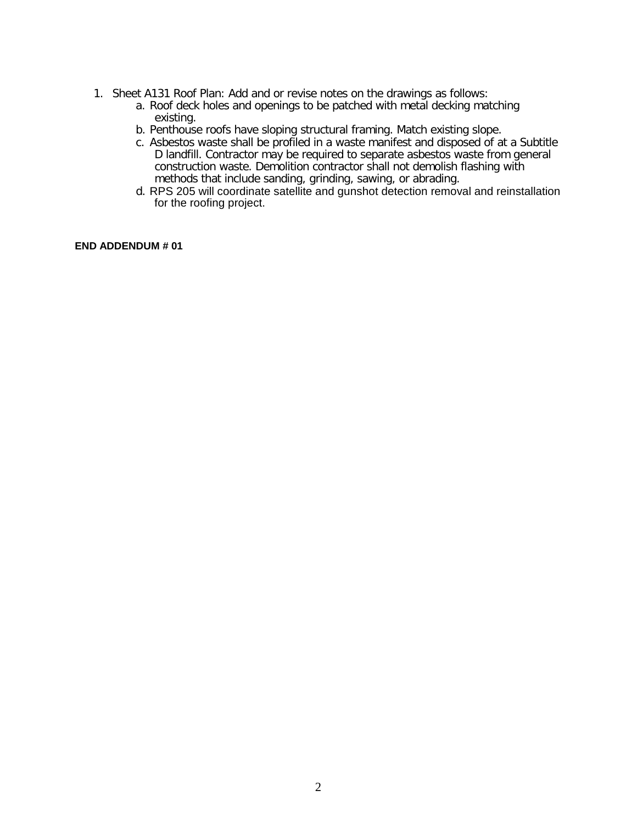- 1. Sheet A131 Roof Plan: Add and or revise notes on the drawings as follows:
	- a. Roof deck holes and openings to be patched with metal decking matching existing.
	- b. Penthouse roofs have sloping structural framing. Match existing slope.
	- c. Asbestos waste shall be profiled in a waste manifest and disposed of at a Subtitle D landfill. Contractor may be required to separate asbestos waste from general construction waste. Demolition contractor shall not demolish flashing with methods that include sanding, grinding, sawing, or abrading.
	- d. RPS 205 will coordinate satellite and gunshot detection removal and reinstallation for the roofing project.

**END ADDENDUM # 01**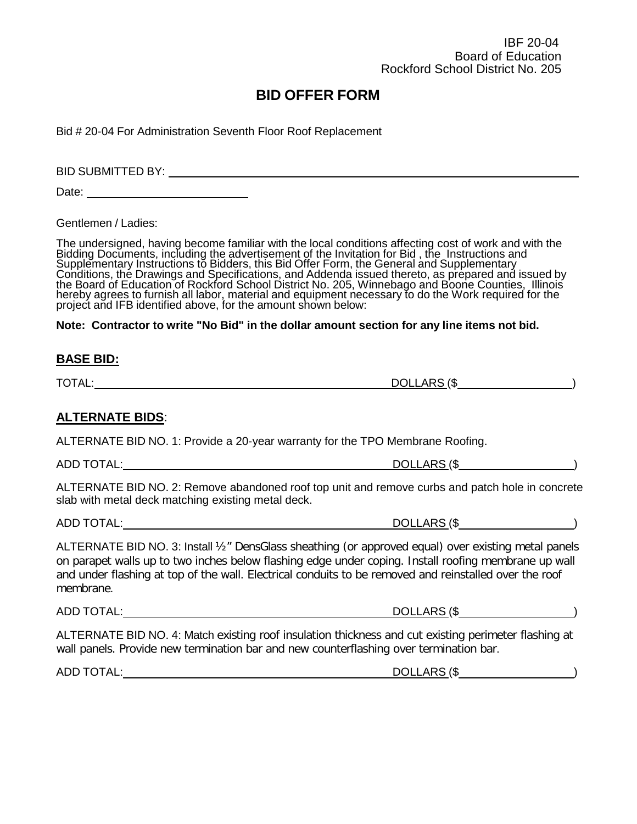Bid # 20-04 For Administration Seventh Floor Roof Replacement

BID SUBMITTED BY:  $\sqrt{ }$ 

Date: **Date: Date: Date: Date: Date: Date: Date: Date: Date: Date: Date: Date: Date: Date: Date: Date: Date: Date: Date: Date: Date: Date: Date: Date: Date: Date: Date:**

Gentlemen / Ladies:

The undersigned, having become familiar with the local conditions affecting cost of work and with the Bidding Documents, including the advertisement of the Invitation for Bid , the Instructions and Supplementary Instructions to Bidders, this Bid Offer Form, the General and Supplementary<br>Conditions, the Drawings and Specifications, and Addenda issued thereto, as prepared and issued by<br>the Board of Education of Rockfor hereby agrees to furnish all labor, material and equipment necessary to do the Work required for the project and IFB identified above, for the amount shown below:

**Note: Contractor to write "No Bid" in the dollar amount section for any line items not bid.**

#### **BASE BID:**

### **ALTERNATE BIDS**:

ALTERNATE BID NO. 1: Provide a 20-year warranty for the TPO Membrane Roofing.

ADD TOTAL: DOLLARS (\$ )

ALTERNATE BID NO. 2: Remove abandoned roof top unit and remove curbs and patch hole in concrete slab with metal deck matching existing metal deck.

ADD TOTAL:  $DOLLARS ($ )$ 

ALTERNATE BID NO. 3: Install ½" DensGlass sheathing (or approved equal) over existing metal panels on parapet walls up to two inches below flashing edge under coping. Install roofing membrane up wall and under flashing at top of the wall. Electrical conduits to be removed and reinstalled over the roof membrane.

ADD TOTAL: DOLLARS (\$ )

ALTERNATE BID NO. 4: Match existing roof insulation thickness and cut existing perimeter flashing at wall panels. Provide new termination bar and new counterflashing over termination bar.

ADD TOTAL: DOLLARS (\$ )

TOTAL: DOLLARS (\$ )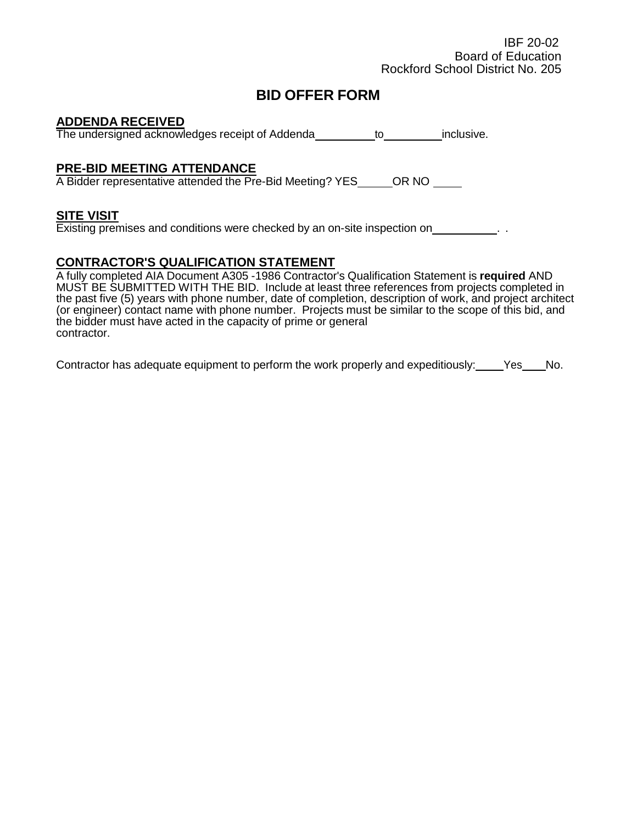#### **ADDENDA RECEIVED**

The undersigned acknowledges receipt of Addenda to to inclusive.

### **PRE-BID MEETING ATTENDANCE**

A Bidder representative attended the Pre-Bid Meeting? YES \_\_\_\_\_\_OR NO \_\_\_\_\_\_

#### **SITE VISIT**

Existing premises and conditions were checked by an on-site inspection on \_\_\_\_\_\_\_\_\_\_\_\_.

### **CONTRACTOR'S QUALIFICATION STATEMENT**

A fully completed AIA Document A305 -1986 Contractor's Qualification Statement is **required** AND MUST BE SUBMITTED WITH THE BID. Include at least three references from projects completed in the past five (5) years with phone number, date of completion, description of work, and project architect (or engineer) contact name with phone number. Projects must be similar to the scope of this bid, and the bidder must have acted in the capacity of prime or general contractor.

Contractor has adequate equipment to perform the work properly and expeditiously: Yes No.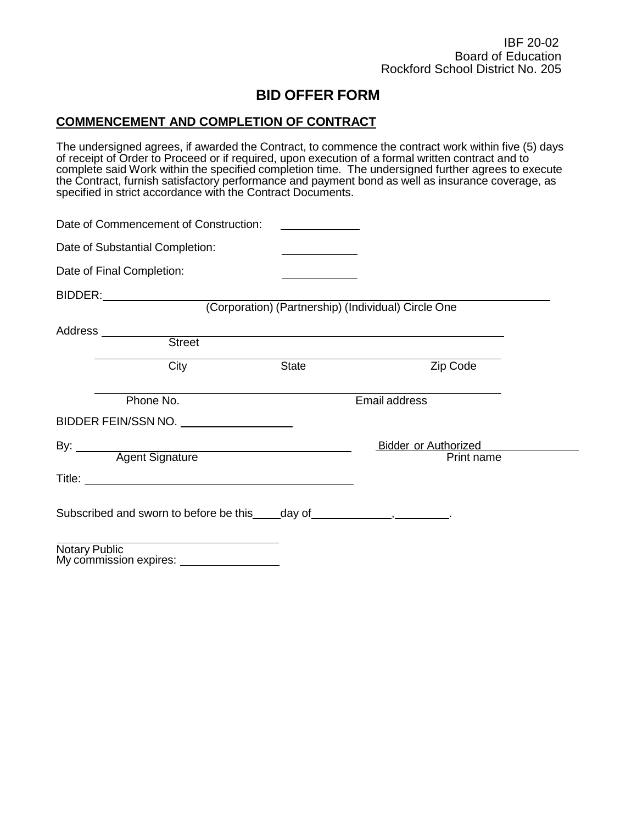### **COMMENCEMENT AND COMPLETION OF CONTRACT**

The undersigned agrees, if awarded the Contract, to commence the contract work within five (5) days of receipt of Order to Proceed or if required, upon execution of a formal written contract and to complete said Work within the specified completion time. The undersigned further agrees to execute the Contract, furnish satisfactory performance and payment bond as well as insurance coverage, as specified in strict accordance with the Contract Documents.

| Date of Commencement of Construction: | <u> 1989 - Jan Sterlingen, statistik fransk kon</u>                          |                      |
|---------------------------------------|------------------------------------------------------------------------------|----------------------|
| Date of Substantial Completion:       |                                                                              |                      |
| Date of Final Completion:             | the control of the control of the control of                                 |                      |
|                                       |                                                                              |                      |
|                                       | (Corporation) (Partnership) (Individual) Circle One                          |                      |
| Address __________<br><b>Street</b>   |                                                                              |                      |
| City                                  | State                                                                        | Zip Code             |
| Phone No.                             |                                                                              | <b>Email address</b> |
| BIDDER FEIN/SSN NO.                   |                                                                              |                      |
|                                       | By: <u>Agent Signature</u>                                                   | Bidder or Authorized |
|                                       |                                                                              | Print name           |
|                                       |                                                                              |                      |
|                                       | Subscribed and sworn to before be this ____ day of ________________________. |                      |
| <b>Notary Public</b>                  |                                                                              |                      |

My commission expires: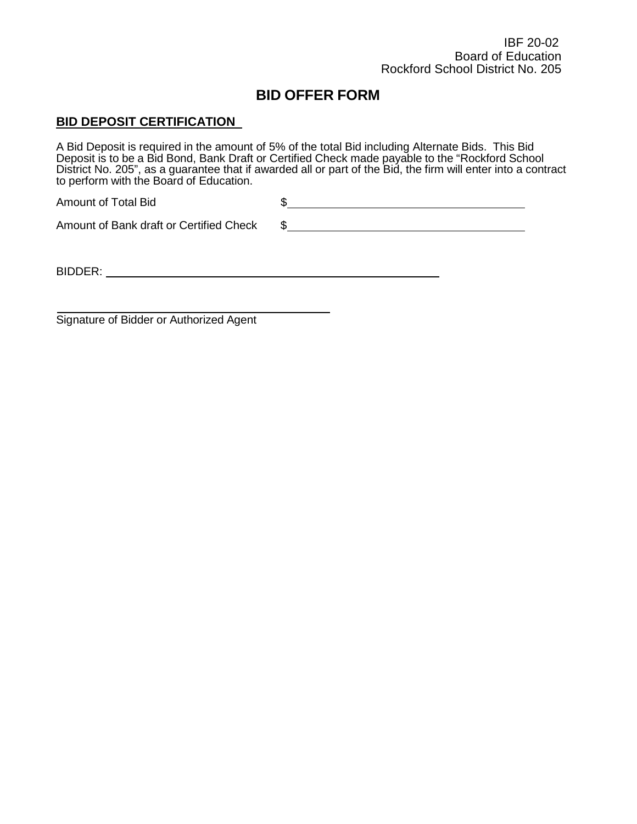### **BID DEPOSIT CERTIFICATION**

A Bid Deposit is required in the amount of 5% of the total Bid including Alternate Bids. This Bid Deposit is to be a Bid Bond, Bank Draft or Certified Check made payable to the "Rockford School District No. 205", as a guarantee that if awarded all or part of the Bid, the firm will enter into a contract to perform with the Board of Education.

| Amount of Total Bid |  |
|---------------------|--|
|                     |  |

Amount of Bank draft or Certified Check \$

BIDDER:

Signature of Bidder or Authorized Agent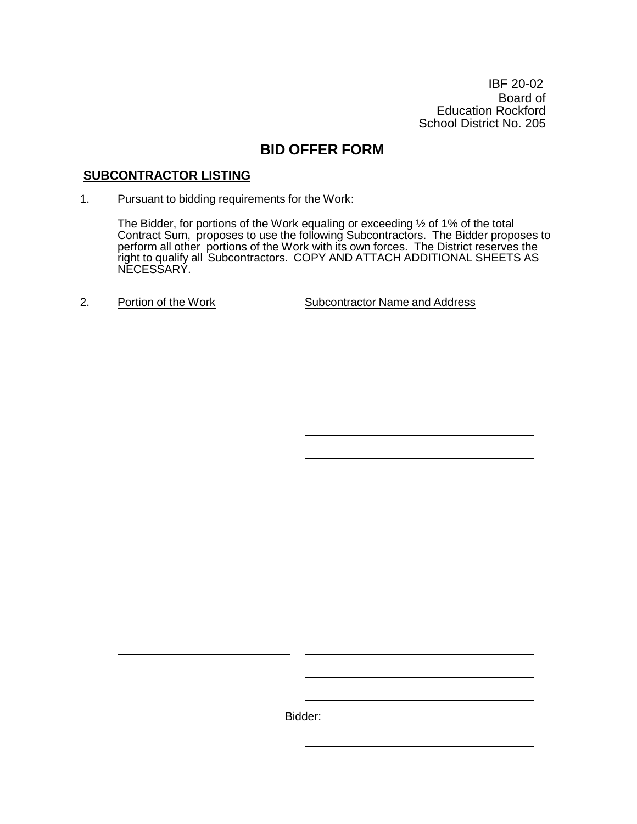IBF 20-02 Board of Education Rockford School District No. 205

# **BID OFFER FORM**

### **SUBCONTRACTOR LISTING**

1. Pursuant to bidding requirements for the Work:

The Bidder, for portions of the Work equaling or exceeding ½ of 1% of the total Contract Sum, proposes to use the following Subcontractors. The Bidder proposes to perform all other portions of the Work with its own forces. The District reserves the right to qualify all Subcontractors. COPY AND ATTACH ADDITIONAL SHEETS AS NECESSARY.

| Portion of the Work | <b>Subcontractor Name and Address</b> |
|---------------------|---------------------------------------|
|                     |                                       |
|                     |                                       |
|                     |                                       |
|                     |                                       |
|                     |                                       |
|                     |                                       |
|                     |                                       |
|                     |                                       |
|                     |                                       |
|                     |                                       |
|                     |                                       |
|                     |                                       |
|                     |                                       |
|                     |                                       |
|                     |                                       |
|                     |                                       |
|                     |                                       |
|                     |                                       |
|                     |                                       |
|                     |                                       |
|                     |                                       |
|                     |                                       |